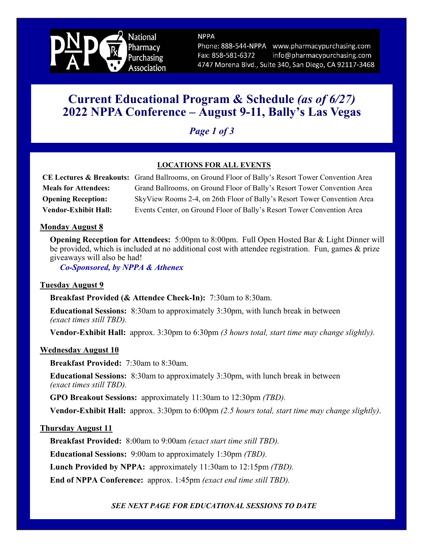

**NPPA** Phone: 888-544-NPPA www.pharmacypurchasing.com info@pharmacypurchasing.com Fax: 858-581-6372

4747 Morena Blvd., Suite 340, San Diego, CA 92117-3468

# **Current Educational Program & Schedule** *(as of 6/27)* **2022 NPPA Conference – August 9-11, Bally's Las Vegas**

*Page 1 of 3*

## **LOCATIONS FOR ALL EVENTS**

|                             | CE Lectures & Breakouts: Grand Ballrooms, on Ground Floor of Bally's Resort Tower Convention Area |
|-----------------------------|---------------------------------------------------------------------------------------------------|
| <b>Meals for Attendees:</b> | Grand Ballrooms, on Ground Floor of Bally's Resort Tower Convention Area                          |
| <b>Opening Reception:</b>   | SkyView Rooms 2-4, on 26th Floor of Bally's Resort Tower Convention Area                          |
| <b>Vendor-Exhibit Hall:</b> | Events Center, on Ground Floor of Bally's Resort Tower Convention Area                            |

## **Monday August 8**

**Opening Reception for Attendees:** 5:00pm to 8:00pm. Full Open Hosted Bar & Light Dinner will be provided, which is included at no additional cost with attendee registration. Fun, games & prize giveaways will also be had!

*Co-Sponsored, by NPPA & Athenex*

#### **Tuesday August 9**

**Breakfast Provided (& Attendee Check-In):** 7:30am to 8:30am.

**Educational Sessions:** 8:30am to approximately 3:30pm, with lunch break in between *(exact times still TBD).* 

**Vendor-Exhibit Hall:** approx. 3:30pm to 6:30pm *(3 hours total, start time may change slightly).*

#### **Wednesday August 10**

**Breakfast Provided:** 7:30am to 8:30am.

**Educational Sessions:** 8:30am to approximately 3:30pm, with lunch break in between *(exact times still TBD).* 

**GPO Breakout Sessions:** approximately 11:30am to 12:30pm *(TBD).* 

**Vendor-Exhibit Hall:** approx. 3:30pm to 6:00pm *(2.5 hours total, start time may change slightly)*.

## **Thursday August 11**

**Breakfast Provided:** 8:00am to 9:00am *(exact start time still TBD).* 

**Educational Sessions:** 9:00am to approximately 1:30pm *(TBD).* 

**Lunch Provided by NPPA:** approximately 11:30am to 12:15pm *(TBD).* 

**End of NPPA Conference:** approx. 1:45pm *(exact end time still TBD).* 

## *SEE NEXT PAGE FOR EDUCATIONAL SESSIONS TO DATE*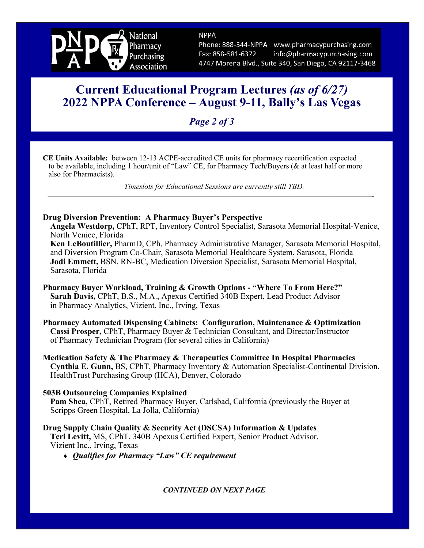

**NPPA** Phone: 888-544-NPPA www.pharmacypurchasing.com info@pharmacypurchasing.com Fax: 858-581-6372 4747 Morena Blvd., Suite 340, San Diego, CA 92117-3468

# **Current Educational Program Lectures** *(as of 6/27)* **2022 NPPA Conference – August 9-11, Bally's Las Vegas**

*Page 2 of 3*

**CE Units Available:** between 12-13 ACPE-accredited CE units for pharmacy recertification expected to be available, including 1 hour/unit of "Law" CE, for Pharmacy Tech/Buyers (& at least half or more also for Pharmacists).

*Timeslots for Educational Sessions are currently still TBD.*  **———————————————————————————————————————-** 

## **Drug Diversion Prevention: A Pharmacy Buyer's Perspective**

**Angela Westdorp,** CPhT, RPT, Inventory Control Specialist, Sarasota Memorial Hospital-Venice, North Venice, Florida

**Ken LeBoutillier,** PharmD, CPh, Pharmacy Administrative Manager, Sarasota Memorial Hospital, and Diversion Program Co-Chair, Sarasota Memorial Healthcare System, Sarasota, Florida **Jodi Emmett,** BSN, RN-BC, Medication Diversion Specialist, Sarasota Memorial Hospital, Sarasota, Florida

**Pharmacy Buyer Workload, Training & Growth Options - "Where To From Here?" Sarah Davis,** CPhT, B.S., M.A., Apexus Certified 340B Expert, Lead Product Advisor in Pharmacy Analytics, Vizient, Inc., Irving, Texas

**Pharmacy Automated Dispensing Cabinets: Configuration, Maintenance & Optimization Cassi Prosper,** CPhT, Pharmacy Buyer & Technician Consultant, and Director/Instructor of Pharmacy Technician Program (for several cities in California)

**Medication Safety & The Pharmacy & Therapeutics Committee In Hospital Pharmacies Cynthia E. Gunn,** BS, CPhT, Pharmacy Inventory & Automation Specialist-Continental Division, HealthTrust Purchasing Group (HCA), Denver, Colorado

## **503B Outsourcing Companies Explained**

**Pam Shea,** CPhT, Retired Pharmacy Buyer, Carlsbad, California (previously the Buyer at Scripps Green Hospital, La Jolla, California)

**Drug Supply Chain Quality & Security Act (DSCSA) Information & Updates Teri Levitt,** MS, CPhT, 340B Apexus Certified Expert, Senior Product Advisor, Vizient Inc., Irving, Texas

*Qualifies for Pharmacy "Law" CE requirement*

*CONTINUED ON NEXT PAGE*